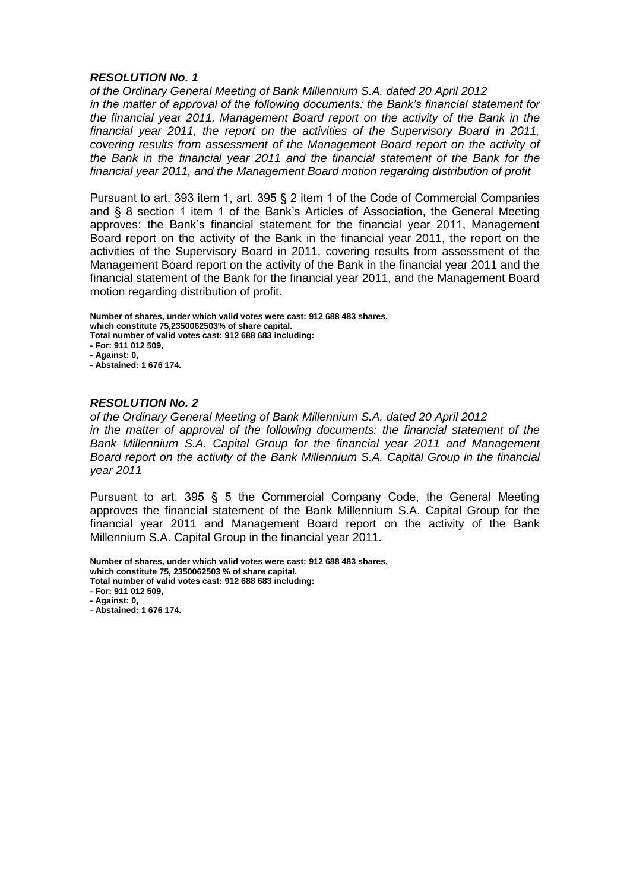*of the Ordinary General Meeting of Bank Millennium S.A. dated 20 April 2012 in the matter of approval of the following documents: the Bank's financial statement for the financial year 2011, Management Board report on the activity of the Bank in the financial year 2011, the report on the activities of the Supervisory Board in 2011, covering results from assessment of the Management Board report on the activity of the Bank in the financial year 2011 and the financial statement of the Bank for the financial year 2011, and the Management Board motion regarding distribution of profit* 

Pursuant to art. 393 item 1, art. 395 § 2 item 1 of the Code of Commercial Companies and § 8 section 1 item 1 of the Bank's Articles of Association, the General Meeting approves: the Bank's financial statement for the financial year 2011, Management Board report on the activity of the Bank in the financial year 2011, the report on the activities of the Supervisory Board in 2011, covering results from assessment of the Management Board report on the activity of the Bank in the financial year 2011 and the financial statement of the Bank for the financial year 2011, and the Management Board motion regarding distribution of profit.

**Number of shares, under which valid votes were cast: 912 688 483 shares, which constitute 75,2350062503% of share capital. Total number of valid votes cast: 912 688 683 including: - For: 911 012 509, - Against: 0, - Abstained: 1 676 174.**

### *RESOLUTION No. 2*

*of the Ordinary General Meeting of Bank Millennium S.A. dated 20 April 2012 in the matter of approval of the following documents: the financial statement of the Bank Millennium S.A. Capital Group for the financial year 2011 and Management Board report on the activity of the Bank Millennium S.A. Capital Group in the financial year 2011* 

Pursuant to art. 395 § 5 the Commercial Company Code, the General Meeting approves the financial statement of the Bank Millennium S.A. Capital Group for the financial year 2011 and Management Board report on the activity of the Bank Millennium S.A. Capital Group in the financial year 2011.

**Number of shares, under which valid votes were cast: 912 688 483 shares,**

**which constitute 75, 2350062503 % of share capital. Total number of valid votes cast: 912 688 683 including:**

**- For: 911 012 509,**

**- Against: 0,**

**- Abstained: 1 676 174.**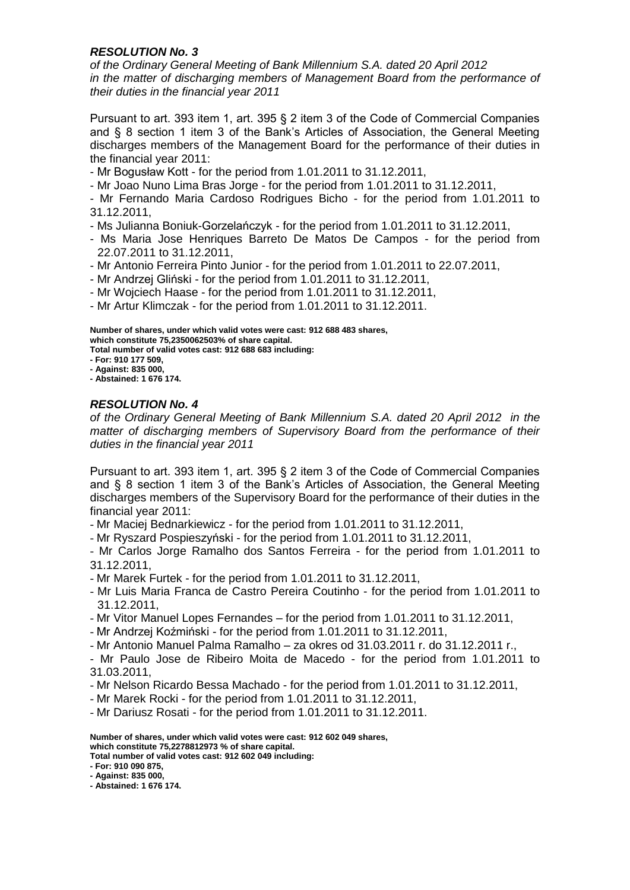*of the Ordinary General Meeting of Bank Millennium S.A. dated 20 April 2012 in the matter of discharging members of Management Board from the performance of their duties in the financial year 2011* 

Pursuant to art. 393 item 1, art. 395 § 2 item 3 of the Code of Commercial Companies and § 8 section 1 item 3 of the Bank's Articles of Association, the General Meeting discharges members of the Management Board for the performance of their duties in the financial year 2011:

- Mr Bogusław Kott - for the period from 1.01.2011 to 31.12.2011,

- Mr Joao Nuno Lima Bras Jorge - for the period from 1.01.2011 to 31.12.2011,

- Mr Fernando Maria Cardoso Rodrigues Bicho - for the period from 1.01.2011 to 31.12.2011,

- Ms Julianna Boniuk-Gorzelańczyk - for the period from 1.01.2011 to 31.12.2011,

- Ms Maria Jose Henriques Barreto De Matos De Campos for the period from 22.07.2011 to 31.12.2011,
- Mr Antonio Ferreira Pinto Junior for the period from 1.01.2011 to 22.07.2011,
- Mr Andrzej Gliński for the period from 1.01.2011 to 31.12.2011,

- Mr Wojciech Haase - for the period from 1.01.2011 to 31.12.2011,

- Mr Artur Klimczak - for the period from 1.01.2011 to 31.12.2011.

**Number of shares, under which valid votes were cast: 912 688 483 shares, which constitute 75,2350062503% of share capital.**

**Total number of valid votes cast: 912 688 683 including:**

- **- For: 910 177 509,**
- **- Against: 835 000, - Abstained: 1 676 174.**

## *RESOLUTION No. 4*

*of the Ordinary General Meeting of Bank Millennium S.A. dated 20 April 2012 in the matter of discharging members of Supervisory Board from the performance of their duties in the financial year 2011* 

Pursuant to art. 393 item 1, art. 395 § 2 item 3 of the Code of Commercial Companies and § 8 section 1 item 3 of the Bank's Articles of Association, the General Meeting discharges members of the Supervisory Board for the performance of their duties in the financial year 2011:

- Mr Maciej Bednarkiewicz - for the period from 1.01.2011 to 31.12.2011,

- Mr Ryszard Pospieszyński - for the period from 1.01.2011 to 31.12.2011,

- Mr Carlos Jorge Ramalho dos Santos Ferreira - for the period from 1.01.2011 to 31.12.2011,

- Mr Marek Furtek - for the period from 1.01.2011 to 31.12.2011,

- Mr Luis Maria Franca de Castro Pereira Coutinho - for the period from 1.01.2011 to 31.12.2011,

- Mr Vitor Manuel Lopes Fernandes – for the period from 1.01.2011 to 31.12.2011,

- Mr Andrzej Koźmiński - for the period from 1.01.2011 to 31.12.2011,

- Mr Antonio Manuel Palma Ramalho – za okres od 31.03.2011 r. do 31.12.2011 r.,

- Mr Paulo Jose de Ribeiro Moita de Macedo - for the period from 1.01.2011 to 31.03.2011,

- Mr Nelson Ricardo Bessa Machado - for the period from 1.01.2011 to 31.12.2011,

- Mr Marek Rocki - for the period from 1.01.2011 to 31.12.2011,

- Mr Dariusz Rosati - for the period from 1.01.2011 to 31.12.2011.

**Number of shares, under which valid votes were cast: 912 602 049 shares, which constitute 75,2278812973 % of share capital. Total number of valid votes cast: 912 602 049 including:**

**- For: 910 090 875,**

**- Against: 835 000,**

**- Abstained: 1 676 174.**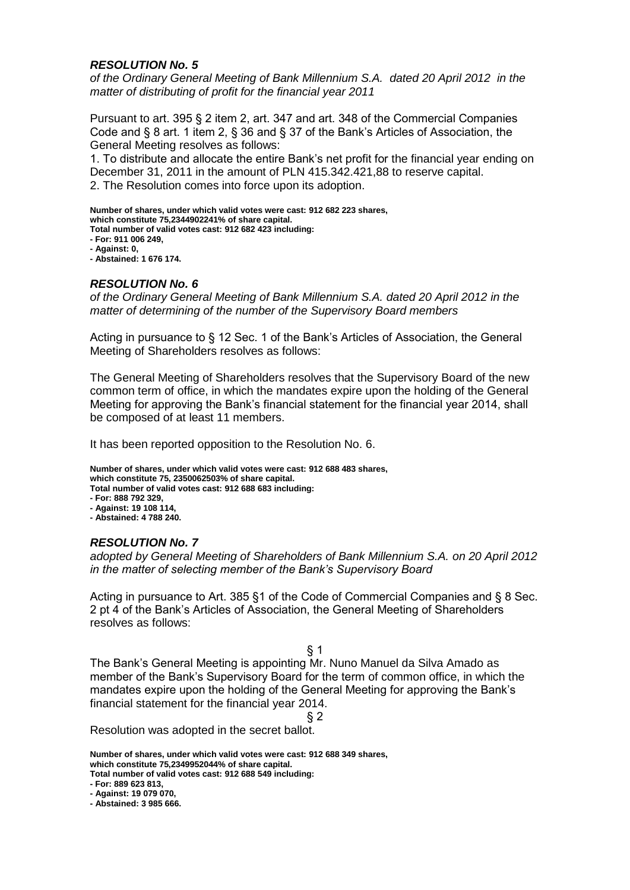*of the Ordinary General Meeting of Bank Millennium S.A. dated 20 April 2012 in the matter of distributing of profit for the financial year 2011* 

Pursuant to art. 395 § 2 item 2, art. 347 and art. 348 of the Commercial Companies Code and § 8 art. 1 item 2, § 36 and § 37 of the Bank's Articles of Association, the General Meeting resolves as follows:

1. To distribute and allocate the entire Bank's net profit for the financial year ending on December 31, 2011 in the amount of PLN 415.342.421,88 to reserve capital. 2. The Resolution comes into force upon its adoption.

**Number of shares, under which valid votes were cast: 912 682 223 shares, which constitute 75,2344902241% of share capital.**

**Total number of valid votes cast: 912 682 423 including:**

**- For: 911 006 249,**

**- Against: 0,**

**- Abstained: 1 676 174.**

### *RESOLUTION No. 6*

*of the Ordinary General Meeting of Bank Millennium S.A. dated 20 April 2012 in the matter of determining of the number of the Supervisory Board members*

Acting in pursuance to § 12 Sec. 1 of the Bank's Articles of Association, the General Meeting of Shareholders resolves as follows:

The General Meeting of Shareholders resolves that the Supervisory Board of the new common term of office, in which the mandates expire upon the holding of the General Meeting for approving the Bank's financial statement for the financial year 2014, shall be composed of at least 11 members.

It has been reported opposition to the Resolution No. 6.

**Number of shares, under which valid votes were cast: 912 688 483 shares, which constitute 75, 2350062503% of share capital. Total number of valid votes cast: 912 688 683 including:**

- **- For: 888 792 329,**
- **- Against: 19 108 114,**
- **- Abstained: 4 788 240.**

## *RESOLUTION No. 7*

*adopted by General Meeting of Shareholders of Bank Millennium S.A. on 20 April 2012 in the matter of selecting member of the Bank's Supervisory Board* 

Acting in pursuance to Art. 385 §1 of the Code of Commercial Companies and § 8 Sec. 2 pt 4 of the Bank's Articles of Association, the General Meeting of Shareholders resolves as follows:

### $§$  1

The Bank's General Meeting is appointing Mr. Nuno Manuel da Silva Amado as member of the Bank's Supervisory Board for the term of common office, in which the mandates expire upon the holding of the General Meeting for approving the Bank's financial statement for the financial year 2014.

§ 2

Resolution was adopted in the secret ballot.

**Number of shares, under which valid votes were cast: 912 688 349 shares, which constitute 75,2349952044% of share capital. Total number of valid votes cast: 912 688 549 including:**

**- For: 889 623 813,**

**- Against: 19 079 070,**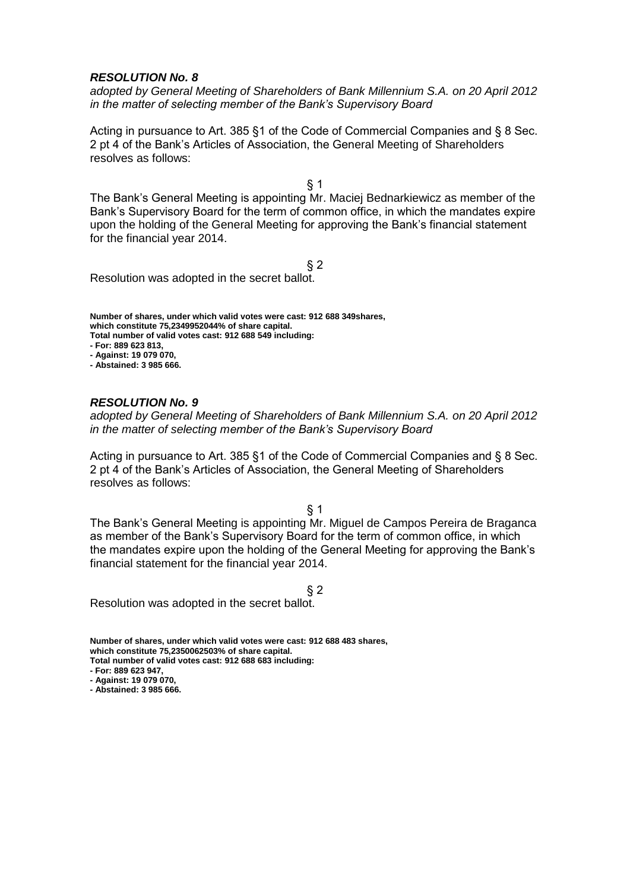*adopted by General Meeting of Shareholders of Bank Millennium S.A. on 20 April 2012 in the matter of selecting member of the Bank's Supervisory Board* 

Acting in pursuance to Art. 385 §1 of the Code of Commercial Companies and § 8 Sec. 2 pt 4 of the Bank's Articles of Association, the General Meeting of Shareholders resolves as follows:

§ 1

The Bank's General Meeting is appointing Mr. Maciej Bednarkiewicz as member of the Bank's Supervisory Board for the term of common office, in which the mandates expire upon the holding of the General Meeting for approving the Bank's financial statement for the financial year 2014.

 $§$  2

Resolution was adopted in the secret ballot.

**Number of shares, under which valid votes were cast: 912 688 349shares, which constitute 75,2349952044% of share capital. Total number of valid votes cast: 912 688 549 including: - For: 889 623 813, - Against: 19 079 070,**

**- Abstained: 3 985 666.**

### *RESOLUTION No. 9*

*adopted by General Meeting of Shareholders of Bank Millennium S.A. on 20 April 2012 in the matter of selecting member of the Bank's Supervisory Board* 

Acting in pursuance to Art. 385 §1 of the Code of Commercial Companies and § 8 Sec. 2 pt 4 of the Bank's Articles of Association, the General Meeting of Shareholders resolves as follows:

 $§$  1

The Bank's General Meeting is appointing Mr. Miguel de Campos Pereira de Braganca as member of the Bank's Supervisory Board for the term of common office, in which the mandates expire upon the holding of the General Meeting for approving the Bank's financial statement for the financial year 2014.

§ 2

Resolution was adopted in the secret ballot.

**Number of shares, under which valid votes were cast: 912 688 483 shares, which constitute 75,2350062503% of share capital.**

**Total number of valid votes cast: 912 688 683 including:**

**- For: 889 623 947, - Against: 19 079 070,**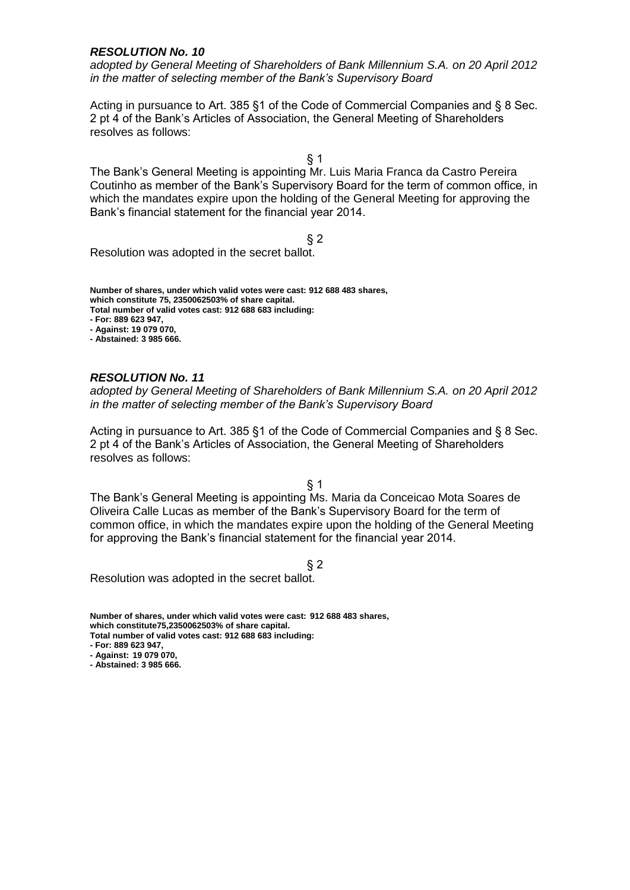*adopted by General Meeting of Shareholders of Bank Millennium S.A. on 20 April 2012 in the matter of selecting member of the Bank's Supervisory Board* 

Acting in pursuance to Art. 385 §1 of the Code of Commercial Companies and § 8 Sec. 2 pt 4 of the Bank's Articles of Association, the General Meeting of Shareholders resolves as follows:

§ 1

The Bank's General Meeting is appointing Mr. Luis Maria Franca da Castro Pereira Coutinho as member of the Bank's Supervisory Board for the term of common office, in which the mandates expire upon the holding of the General Meeting for approving the Bank's financial statement for the financial year 2014.

 $§$  2

Resolution was adopted in the secret ballot.

**Number of shares, under which valid votes were cast: 912 688 483 shares, which constitute 75, 2350062503% of share capital. Total number of valid votes cast: 912 688 683 including: - For: 889 623 947,**

**- Against: 19 079 070,**

**- Abstained: 3 985 666.**

### *RESOLUTION No. 11*

*adopted by General Meeting of Shareholders of Bank Millennium S.A. on 20 April 2012 in the matter of selecting member of the Bank's Supervisory Board* 

Acting in pursuance to Art. 385 §1 of the Code of Commercial Companies and § 8 Sec. 2 pt 4 of the Bank's Articles of Association, the General Meeting of Shareholders resolves as follows:

§ 1

The Bank's General Meeting is appointing Ms. Maria da Conceicao Mota Soares de Oliveira Calle Lucas as member of the Bank's Supervisory Board for the term of common office, in which the mandates expire upon the holding of the General Meeting for approving the Bank's financial statement for the financial year 2014.

§ 2

Resolution was adopted in the secret ballot.

**Number of shares, under which valid votes were cast: 912 688 483 shares, which constitute75,2350062503% of share capital. Total number of valid votes cast: 912 688 683 including:**

**- For: 889 623 947,**

**- Against: 19 079 070,**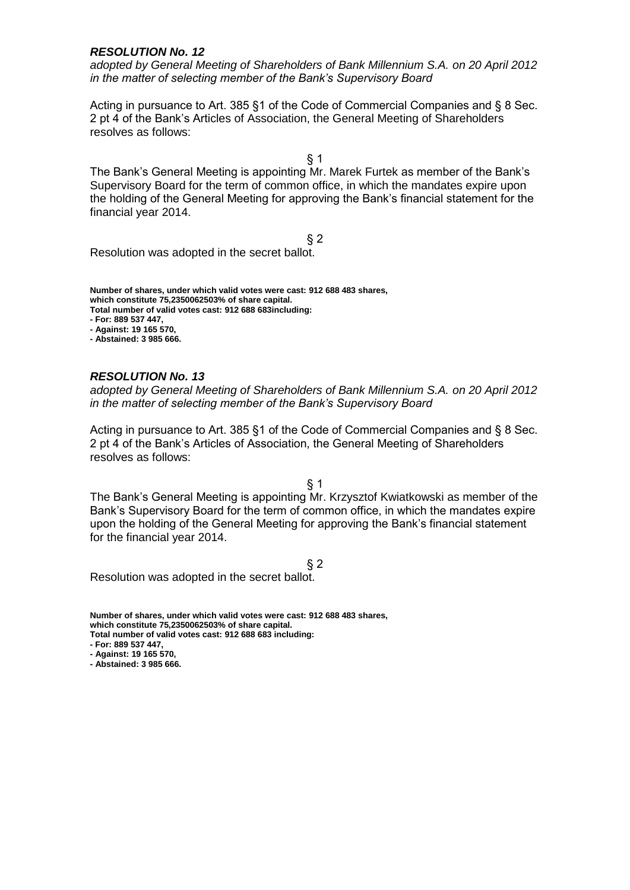*adopted by General Meeting of Shareholders of Bank Millennium S.A. on 20 April 2012 in the matter of selecting member of the Bank's Supervisory Board* 

Acting in pursuance to Art. 385 §1 of the Code of Commercial Companies and § 8 Sec. 2 pt 4 of the Bank's Articles of Association, the General Meeting of Shareholders resolves as follows:

§ 1

The Bank's General Meeting is appointing Mr. Marek Furtek as member of the Bank's Supervisory Board for the term of common office, in which the mandates expire upon the holding of the General Meeting for approving the Bank's financial statement for the financial year 2014.

 $§$  2

Resolution was adopted in the secret ballot.

**Number of shares, under which valid votes were cast: 912 688 483 shares, which constitute 75,2350062503% of share capital. Total number of valid votes cast: 912 688 683including: - For: 889 537 447,**

**- Against: 19 165 570,**

**- Abstained: 3 985 666.**

### *RESOLUTION No. 13*

*adopted by General Meeting of Shareholders of Bank Millennium S.A. on 20 April 2012 in the matter of selecting member of the Bank's Supervisory Board* 

Acting in pursuance to Art. 385 §1 of the Code of Commercial Companies and § 8 Sec. 2 pt 4 of the Bank's Articles of Association, the General Meeting of Shareholders resolves as follows:

§ 1

The Bank's General Meeting is appointing Mr. Krzysztof Kwiatkowski as member of the Bank's Supervisory Board for the term of common office, in which the mandates expire upon the holding of the General Meeting for approving the Bank's financial statement for the financial year 2014.

§ 2

Resolution was adopted in the secret ballot.

**Number of shares, under which valid votes were cast: 912 688 483 shares, which constitute 75,2350062503% of share capital. Total number of valid votes cast: 912 688 683 including: - For: 889 537 447,**

**- Against: 19 165 570,**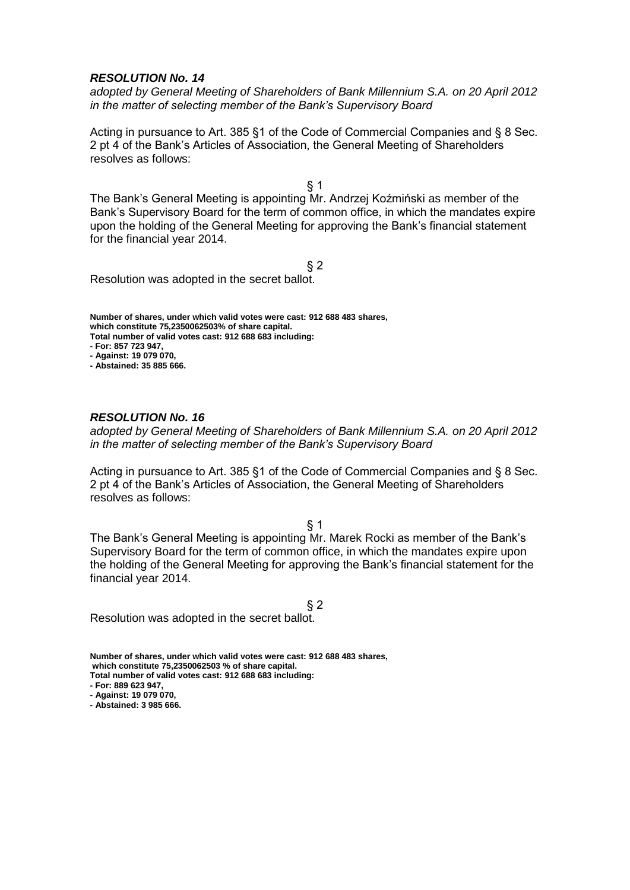*adopted by General Meeting of Shareholders of Bank Millennium S.A. on 20 April 2012 in the matter of selecting member of the Bank's Supervisory Board* 

Acting in pursuance to Art. 385 §1 of the Code of Commercial Companies and § 8 Sec. 2 pt 4 of the Bank's Articles of Association, the General Meeting of Shareholders resolves as follows:

§ 1

The Bank's General Meeting is appointing Mr. Andrzej Koźmiński as member of the Bank's Supervisory Board for the term of common office, in which the mandates expire upon the holding of the General Meeting for approving the Bank's financial statement for the financial year 2014.

 $§$  2

Resolution was adopted in the secret ballot.

**Number of shares, under which valid votes were cast: 912 688 483 shares, which constitute 75,2350062503% of share capital. Total number of valid votes cast: 912 688 683 including: - For: 857 723 947, - Against: 19 079 070,**

**- Abstained: 35 885 666.**

### *RESOLUTION No. 16*

*adopted by General Meeting of Shareholders of Bank Millennium S.A. on 20 April 2012 in the matter of selecting member of the Bank's Supervisory Board* 

Acting in pursuance to Art. 385 §1 of the Code of Commercial Companies and § 8 Sec. 2 pt 4 of the Bank's Articles of Association, the General Meeting of Shareholders resolves as follows:

§ 1

The Bank's General Meeting is appointing Mr. Marek Rocki as member of the Bank's Supervisory Board for the term of common office, in which the mandates expire upon the holding of the General Meeting for approving the Bank's financial statement for the financial year 2014.

§ 2 Resolution was adopted in the secret ballot.

**Number of shares, under which valid votes were cast: 912 688 483 shares, which constitute 75,2350062503 % of share capital.**

**Total number of valid votes cast: 912 688 683 including:**

**- For: 889 623 947,**

**- Against: 19 079 070,**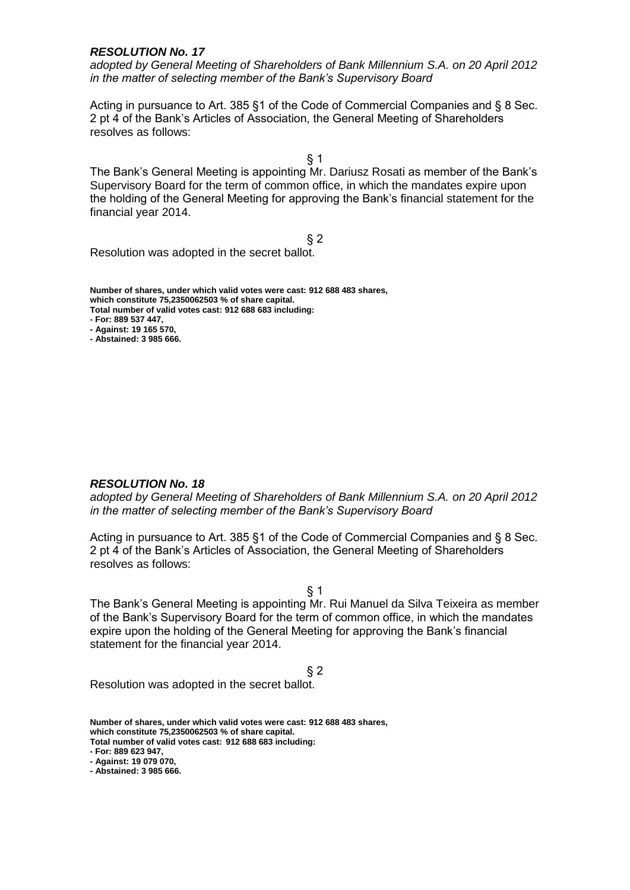*adopted by General Meeting of Shareholders of Bank Millennium S.A. on 20 April 2012 in the matter of selecting member of the Bank's Supervisory Board* 

Acting in pursuance to Art. 385 §1 of the Code of Commercial Companies and § 8 Sec. 2 pt 4 of the Bank's Articles of Association, the General Meeting of Shareholders resolves as follows:

§ 1

The Bank's General Meeting is appointing Mr. Dariusz Rosati as member of the Bank's Supervisory Board for the term of common office, in which the mandates expire upon the holding of the General Meeting for approving the Bank's financial statement for the financial year 2014.

 $§$  2

Resolution was adopted in the secret ballot.

**Number of shares, under which valid votes were cast: 912 688 483 shares, which constitute 75,2350062503 % of share capital. Total number of valid votes cast: 912 688 683 including:**

**- For: 889 537 447,**

**- Against: 19 165 570, - Abstained: 3 985 666.**

*RESOLUTION No. 18*

*adopted by General Meeting of Shareholders of Bank Millennium S.A. on 20 April 2012 in the matter of selecting member of the Bank's Supervisory Board* 

Acting in pursuance to Art. 385 §1 of the Code of Commercial Companies and § 8 Sec. 2 pt 4 of the Bank's Articles of Association, the General Meeting of Shareholders resolves as follows:

§ 1

The Bank's General Meeting is appointing Mr. Rui Manuel da Silva Teixeira as member of the Bank's Supervisory Board for the term of common office, in which the mandates expire upon the holding of the General Meeting for approving the Bank's financial statement for the financial year 2014.

§ 2

Resolution was adopted in the secret ballot.

**Number of shares, under which valid votes were cast: 912 688 483 shares, which constitute 75,2350062503 % of share capital.**

**Total number of valid votes cast: 912 688 683 including:**

**- For: 889 623 947,**

**<sup>-</sup> Against: 19 079 070,**

**<sup>-</sup> Abstained: 3 985 666.**